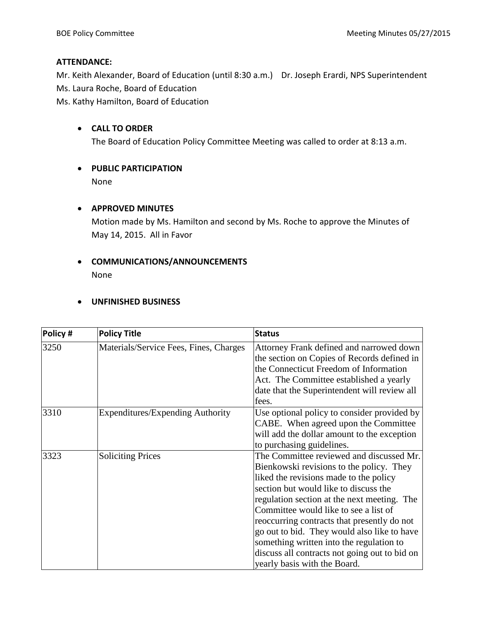## **ATTENDANCE:**

Mr. Keith Alexander, Board of Education (until 8:30 a.m.) Dr. Joseph Erardi, NPS Superintendent Ms. Laura Roche, Board of Education

Ms. Kathy Hamilton, Board of Education

## **CALL TO ORDER**

The Board of Education Policy Committee Meeting was called to order at 8:13 a.m.

# **PUBLIC PARTICIPATION**

None

## **APPROVED MINUTES**

Motion made by Ms. Hamilton and second by Ms. Roche to approve the Minutes of May 14, 2015. All in Favor

## **COMMUNICATIONS/ANNOUNCEMENTS** None

## **UNFINISHED BUSINESS**

| Policy # | <b>Policy Title</b>                    | <b>Status</b>                                                                                                                                                                                                                                                                                                                                                                                                                                                                              |
|----------|----------------------------------------|--------------------------------------------------------------------------------------------------------------------------------------------------------------------------------------------------------------------------------------------------------------------------------------------------------------------------------------------------------------------------------------------------------------------------------------------------------------------------------------------|
| 3250     | Materials/Service Fees, Fines, Charges | Attorney Frank defined and narrowed down<br>the section on Copies of Records defined in<br>the Connecticut Freedom of Information<br>Act. The Committee established a yearly<br>date that the Superintendent will review all<br>fees.                                                                                                                                                                                                                                                      |
| 3310     | Expenditures/Expending Authority       | Use optional policy to consider provided by<br>CABE. When agreed upon the Committee<br>will add the dollar amount to the exception<br>to purchasing guidelines.                                                                                                                                                                                                                                                                                                                            |
| 3323     | <b>Soliciting Prices</b>               | The Committee reviewed and discussed Mr.<br>Bienkowski revisions to the policy. They<br>liked the revisions made to the policy<br>section but would like to discuss the<br>regulation section at the next meeting. The<br>Committee would like to see a list of<br>reoccurring contracts that presently do not<br>go out to bid. They would also like to have<br>something written into the regulation to<br>discuss all contracts not going out to bid on<br>yearly basis with the Board. |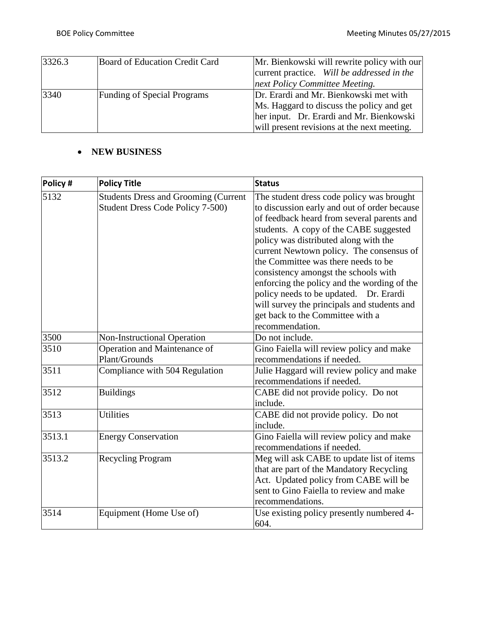| 3326.3 | Board of Education Credit Card     | Mr. Bienkowski will rewrite policy with our |  |
|--------|------------------------------------|---------------------------------------------|--|
|        |                                    | current practice. Will be addressed in the  |  |
|        |                                    | next Policy Committee Meeting.              |  |
| 3340   | <b>Funding of Special Programs</b> | Dr. Erardi and Mr. Bienkowski met with      |  |
|        |                                    | Ms. Haggard to discuss the policy and get   |  |
|        |                                    | her input. Dr. Erardi and Mr. Bienkowski    |  |
|        |                                    | will present revisions at the next meeting. |  |

## **NEW BUSINESS**

| Policy # | <b>Policy Title</b>                                                             | <b>Status</b>                                                                                                                                                                                                                                                                                                                                                                                                                                                                                                                                        |
|----------|---------------------------------------------------------------------------------|------------------------------------------------------------------------------------------------------------------------------------------------------------------------------------------------------------------------------------------------------------------------------------------------------------------------------------------------------------------------------------------------------------------------------------------------------------------------------------------------------------------------------------------------------|
| 5132     | <b>Students Dress and Grooming (Current</b><br>Student Dress Code Policy 7-500) | The student dress code policy was brought<br>to discussion early and out of order because<br>of feedback heard from several parents and<br>students. A copy of the CABE suggested<br>policy was distributed along with the<br>current Newtown policy. The consensus of<br>the Committee was there needs to be<br>consistency amongst the schools with<br>enforcing the policy and the wording of the<br>policy needs to be updated. Dr. Erardi<br>will survey the principals and students and<br>get back to the Committee with a<br>recommendation. |
| 3500     | Non-Instructional Operation                                                     | Do not include.                                                                                                                                                                                                                                                                                                                                                                                                                                                                                                                                      |
| 3510     | Operation and Maintenance of<br>Plant/Grounds                                   | Gino Faiella will review policy and make<br>recommendations if needed.                                                                                                                                                                                                                                                                                                                                                                                                                                                                               |
| 3511     | Compliance with 504 Regulation                                                  | Julie Haggard will review policy and make<br>recommendations if needed.                                                                                                                                                                                                                                                                                                                                                                                                                                                                              |
| 3512     | <b>Buildings</b>                                                                | CABE did not provide policy. Do not<br>include.                                                                                                                                                                                                                                                                                                                                                                                                                                                                                                      |
| 3513     | <b>Utilities</b>                                                                | CABE did not provide policy. Do not<br>include.                                                                                                                                                                                                                                                                                                                                                                                                                                                                                                      |
| 3513.1   | <b>Energy Conservation</b>                                                      | Gino Faiella will review policy and make<br>recommendations if needed.                                                                                                                                                                                                                                                                                                                                                                                                                                                                               |
| 3513.2   | <b>Recycling Program</b>                                                        | Meg will ask CABE to update list of items<br>that are part of the Mandatory Recycling<br>Act. Updated policy from CABE will be<br>sent to Gino Faiella to review and make<br>recommendations.                                                                                                                                                                                                                                                                                                                                                        |
| 3514     | Equipment (Home Use of)                                                         | Use existing policy presently numbered 4-<br>604.                                                                                                                                                                                                                                                                                                                                                                                                                                                                                                    |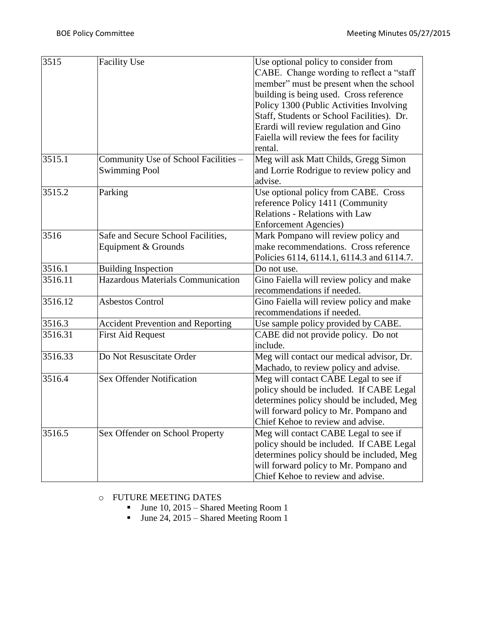| 3515    | <b>Facility Use</b>                                          | Use optional policy to consider from<br>CABE. Change wording to reflect a "staff<br>member" must be present when the school<br>building is being used. Cross reference<br>Policy 1300 (Public Activities Involving<br>Staff, Students or School Facilities). Dr.<br>Erardi will review regulation and Gino<br>Faiella will review the fees for facility<br>rental. |  |
|---------|--------------------------------------------------------------|--------------------------------------------------------------------------------------------------------------------------------------------------------------------------------------------------------------------------------------------------------------------------------------------------------------------------------------------------------------------|--|
| 3515.1  | Community Use of School Facilities -<br><b>Swimming Pool</b> | Meg will ask Matt Childs, Gregg Simon<br>and Lorrie Rodrigue to review policy and<br>advise.                                                                                                                                                                                                                                                                       |  |
| 3515.2  | Parking                                                      | Use optional policy from CABE. Cross<br>reference Policy 1411 (Community<br><b>Relations - Relations with Law</b><br><b>Enforcement Agencies</b> )                                                                                                                                                                                                                 |  |
| 3516    | Safe and Secure School Facilities,<br>Equipment & Grounds    | Mark Pompano will review policy and<br>make recommendations. Cross reference<br>Policies 6114, 6114.1, 6114.3 and 6114.7.                                                                                                                                                                                                                                          |  |
| 3516.1  | <b>Building Inspection</b>                                   | Do not use.                                                                                                                                                                                                                                                                                                                                                        |  |
| 3516.11 | Hazardous Materials Communication                            | Gino Faiella will review policy and make<br>recommendations if needed.                                                                                                                                                                                                                                                                                             |  |
| 3516.12 | <b>Asbestos Control</b>                                      | Gino Faiella will review policy and make<br>recommendations if needed.                                                                                                                                                                                                                                                                                             |  |
| 3516.3  | <b>Accident Prevention and Reporting</b>                     | Use sample policy provided by CABE.                                                                                                                                                                                                                                                                                                                                |  |
| 3516.31 | <b>First Aid Request</b>                                     | CABE did not provide policy. Do not<br>include.                                                                                                                                                                                                                                                                                                                    |  |
| 3516.33 | Do Not Resuscitate Order                                     | Meg will contact our medical advisor, Dr.<br>Machado, to review policy and advise.                                                                                                                                                                                                                                                                                 |  |
| 3516.4  | <b>Sex Offender Notification</b>                             | Meg will contact CABE Legal to see if<br>policy should be included. If CABE Legal<br>determines policy should be included, Meg<br>will forward policy to Mr. Pompano and<br>Chief Kehoe to review and advise.                                                                                                                                                      |  |
| 3516.5  | Sex Offender on School Property                              | Meg will contact CABE Legal to see if<br>policy should be included. If CABE Legal<br>determines policy should be included, Meg<br>will forward policy to Mr. Pompano and<br>Chief Kehoe to review and advise.                                                                                                                                                      |  |

## o FUTURE MEETING DATES

- June 10, 2015 Shared Meeting Room 1
- $\blacksquare$  June 24, 2015 Shared Meeting Room 1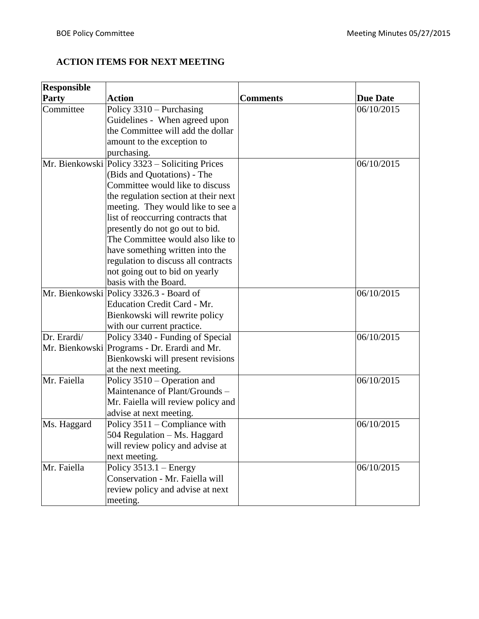## **ACTION ITEMS FOR NEXT MEETING**

| <b>Responsible</b> |                                                |                 |                 |
|--------------------|------------------------------------------------|-----------------|-----------------|
| <b>Party</b>       | <b>Action</b>                                  | <b>Comments</b> | <b>Due Date</b> |
| Committee          | Policy $3310$ – Purchasing                     |                 | 06/10/2015      |
|                    | Guidelines - When agreed upon                  |                 |                 |
|                    | the Committee will add the dollar              |                 |                 |
|                    | amount to the exception to                     |                 |                 |
|                    | purchasing.                                    |                 |                 |
|                    | Mr. Bienkowski Policy 3323 – Soliciting Prices |                 | 06/10/2015      |
|                    | (Bids and Quotations) - The                    |                 |                 |
|                    | Committee would like to discuss                |                 |                 |
|                    | the regulation section at their next           |                 |                 |
|                    | meeting. They would like to see a              |                 |                 |
|                    | list of reoccurring contracts that             |                 |                 |
|                    | presently do not go out to bid.                |                 |                 |
|                    | The Committee would also like to               |                 |                 |
|                    | have something written into the                |                 |                 |
|                    | regulation to discuss all contracts            |                 |                 |
|                    | not going out to bid on yearly                 |                 |                 |
|                    | basis with the Board.                          |                 |                 |
|                    | Mr. Bienkowski Policy 3326.3 - Board of        |                 | 06/10/2015      |
|                    | <b>Education Credit Card - Mr.</b>             |                 |                 |
|                    | Bienkowski will rewrite policy                 |                 |                 |
|                    | with our current practice.                     |                 |                 |
| Dr. Erardi/        | Policy 3340 - Funding of Special               |                 | 06/10/2015      |
|                    | Mr. Bienkowski Programs - Dr. Erardi and Mr.   |                 |                 |
|                    | Bienkowski will present revisions              |                 |                 |
|                    | at the next meeting.                           |                 |                 |
| Mr. Faiella        | Policy 3510 – Operation and                    |                 | 06/10/2015      |
|                    | Maintenance of Plant/Grounds -                 |                 |                 |
|                    | Mr. Faiella will review policy and             |                 |                 |
|                    | advise at next meeting.                        |                 |                 |
| Ms. Haggard        | Policy 3511 – Compliance with                  |                 | 06/10/2015      |
|                    | 504 Regulation – Ms. Haggard                   |                 |                 |
|                    | will review policy and advise at               |                 |                 |
|                    | next meeting.                                  |                 |                 |
| Mr. Faiella        | Policy $3513.1 -$ Energy                       |                 | 06/10/2015      |
|                    | Conservation - Mr. Faiella will                |                 |                 |
|                    | review policy and advise at next               |                 |                 |
|                    | meeting.                                       |                 |                 |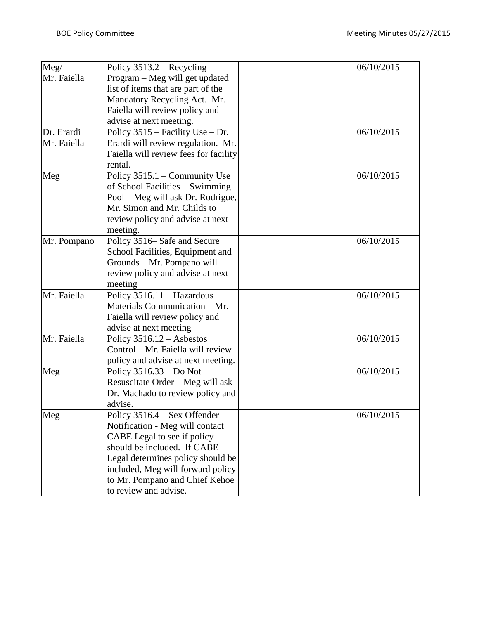| Meg/        | Policy $3513.2$ – Recycling           | 06/10/2015 |
|-------------|---------------------------------------|------------|
| Mr. Faiella | Program – Meg will get updated        |            |
|             | list of items that are part of the    |            |
|             | Mandatory Recycling Act. Mr.          |            |
|             | Faiella will review policy and        |            |
|             | advise at next meeting.               |            |
| Dr. Erardi  | Policy 3515 – Facility Use – Dr.      | 06/10/2015 |
| Mr. Faiella | Erardi will review regulation. Mr.    |            |
|             | Faiella will review fees for facility |            |
|             | rental.                               |            |
| Meg         | Policy 3515.1 - Community Use         | 06/10/2015 |
|             | of School Facilities – Swimming       |            |
|             | Pool – Meg will ask Dr. Rodrigue,     |            |
|             | Mr. Simon and Mr. Childs to           |            |
|             | review policy and advise at next      |            |
|             | meeting.                              |            |
| Mr. Pompano | Policy 3516– Safe and Secure          | 06/10/2015 |
|             | School Facilities, Equipment and      |            |
|             | Grounds - Mr. Pompano will            |            |
|             | review policy and advise at next      |            |
|             | meeting                               |            |
| Mr. Faiella | Policy 3516.11 - Hazardous            | 06/10/2015 |
|             | Materials Communication - Mr.         |            |
|             | Faiella will review policy and        |            |
|             | advise at next meeting                |            |
| Mr. Faiella | Policy $3516.12 -$ Asbestos           | 06/10/2015 |
|             | Control – Mr. Faiella will review     |            |
|             | policy and advise at next meeting.    |            |
| Meg         | Policy 3516.33 – Do Not               | 06/10/2015 |
|             | Resuscitate Order - Meg will ask      |            |
|             | Dr. Machado to review policy and      |            |
|             | advise.                               |            |
| Meg         | Policy $3516.4 -$ Sex Offender        | 06/10/2015 |
|             | Notification - Meg will contact       |            |
|             | CABE Legal to see if policy           |            |
|             | should be included. If CABE           |            |
|             | Legal determines policy should be     |            |
|             | included, Meg will forward policy     |            |
|             | to Mr. Pompano and Chief Kehoe        |            |
|             | to review and advise.                 |            |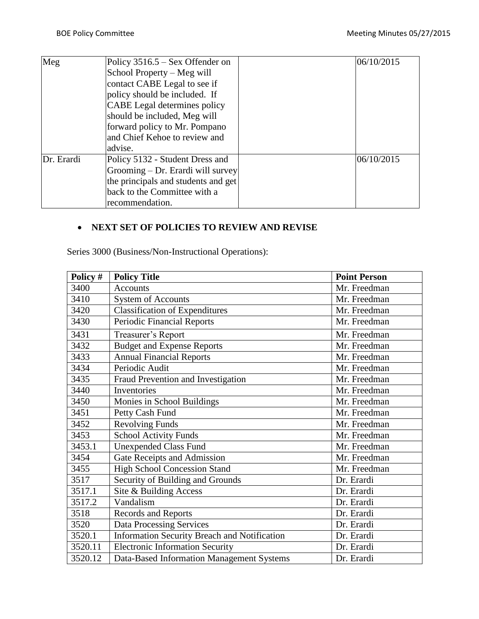| Meg        | Policy $3516.5 -$ Sex Offender on   | 06/10/2015 |
|------------|-------------------------------------|------------|
|            | School Property – Meg will          |            |
|            | contact CABE Legal to see if        |            |
|            | policy should be included. If       |            |
|            | CABE Legal determines policy        |            |
|            | should be included, Meg will        |            |
|            | forward policy to Mr. Pompano       |            |
|            | and Chief Kehoe to review and       |            |
|            | advise.                             |            |
| Dr. Erardi | Policy 5132 - Student Dress and     | 06/10/2015 |
|            | Grooming – Dr. Erardi will survey   |            |
|            | the principals and students and get |            |
|            | back to the Committee with a        |            |
|            | recommendation.                     |            |

## **NEXT SET OF POLICIES TO REVIEW AND REVISE**

Series 3000 (Business/Non-Instructional Operations):

| Policy # | <b>Policy Title</b>                          | <b>Point Person</b> |
|----------|----------------------------------------------|---------------------|
| 3400     | <b>Accounts</b>                              | Mr. Freedman        |
| 3410     | <b>System of Accounts</b>                    | Mr. Freedman        |
| 3420     | <b>Classification of Expenditures</b>        | Mr. Freedman        |
| 3430     | <b>Periodic Financial Reports</b>            | Mr. Freedman        |
| 3431     | Treasurer's Report                           | Mr. Freedman        |
| 3432     | <b>Budget and Expense Reports</b>            | Mr. Freedman        |
| 3433     | <b>Annual Financial Reports</b>              | Mr. Freedman        |
| 3434     | Periodic Audit                               | Mr. Freedman        |
| 3435     | Fraud Prevention and Investigation           | Mr. Freedman        |
| 3440     | Inventories                                  | Mr. Freedman        |
| 3450     | Monies in School Buildings                   | Mr. Freedman        |
| 3451     | Petty Cash Fund                              | Mr. Freedman        |
| 3452     | <b>Revolving Funds</b>                       | Mr. Freedman        |
| 3453     | <b>School Activity Funds</b>                 | Mr. Freedman        |
| 3453.1   | <b>Unexpended Class Fund</b>                 | Mr. Freedman        |
| 3454     | Gate Receipts and Admission                  | Mr. Freedman        |
| 3455     | <b>High School Concession Stand</b>          | Mr. Freedman        |
| 3517     | Security of Building and Grounds             | Dr. Erardi          |
| 3517.1   | Site & Building Access                       | Dr. Erardi          |
| 3517.2   | Vandalism                                    | Dr. Erardi          |
| 3518     | Records and Reports                          | Dr. Erardi          |
| 3520     | <b>Data Processing Services</b>              | Dr. Erardi          |
| 3520.1   | Information Security Breach and Notification | Dr. Erardi          |
| 3520.11  | <b>Electronic Information Security</b>       | Dr. Erardi          |
| 3520.12  | Data-Based Information Management Systems    | Dr. Erardi          |